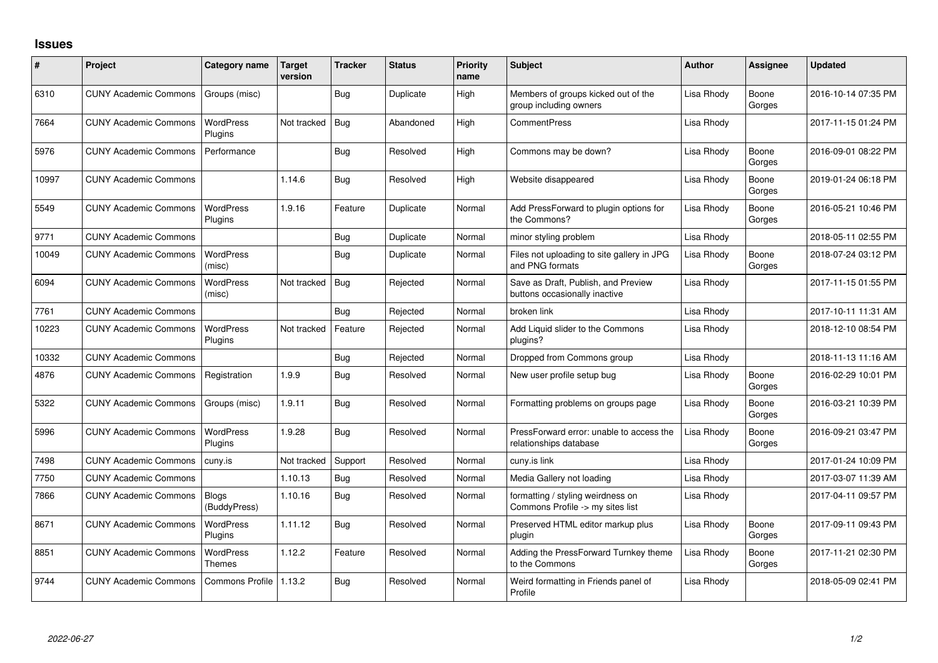## **Issues**

| #     | Project                      | <b>Category name</b>         | Target<br>version | <b>Tracker</b> | <b>Status</b> | <b>Priority</b><br>name | Subject                                                               | <b>Author</b> | <b>Assignee</b> | <b>Updated</b>      |
|-------|------------------------------|------------------------------|-------------------|----------------|---------------|-------------------------|-----------------------------------------------------------------------|---------------|-----------------|---------------------|
| 6310  | <b>CUNY Academic Commons</b> | Groups (misc)                |                   | Bug            | Duplicate     | High                    | Members of groups kicked out of the<br>group including owners         | Lisa Rhody    | Boone<br>Gorges | 2016-10-14 07:35 PM |
| 7664  | <b>CUNY Academic Commons</b> | <b>WordPress</b><br>Plugins  | Not tracked       | Bug            | Abandoned     | High                    | <b>CommentPress</b>                                                   | Lisa Rhody    |                 | 2017-11-15 01:24 PM |
| 5976  | <b>CUNY Academic Commons</b> | Performance                  |                   | Bug            | Resolved      | High                    | Commons may be down?                                                  | Lisa Rhody    | Boone<br>Gorges | 2016-09-01 08:22 PM |
| 10997 | <b>CUNY Academic Commons</b> |                              | 1.14.6            | <b>Bug</b>     | Resolved      | High                    | Website disappeared                                                   | Lisa Rhody    | Boone<br>Gorges | 2019-01-24 06:18 PM |
| 5549  | <b>CUNY Academic Commons</b> | <b>WordPress</b><br>Plugins  | 1.9.16            | Feature        | Duplicate     | Normal                  | Add PressForward to plugin options for<br>the Commons?                | Lisa Rhody    | Boone<br>Gorges | 2016-05-21 10:46 PM |
| 9771  | <b>CUNY Academic Commons</b> |                              |                   | <b>Bug</b>     | Duplicate     | Normal                  | minor styling problem                                                 | Lisa Rhody    |                 | 2018-05-11 02:55 PM |
| 10049 | <b>CUNY Academic Commons</b> | <b>WordPress</b><br>(misc)   |                   | Bug            | Duplicate     | Normal                  | Files not uploading to site gallery in JPG<br>and PNG formats         | Lisa Rhody    | Boone<br>Gorges | 2018-07-24 03:12 PM |
| 6094  | <b>CUNY Academic Commons</b> | <b>WordPress</b><br>(misc)   | Not tracked       | Bug            | Rejected      | Normal                  | Save as Draft, Publish, and Preview<br>buttons occasionally inactive  | Lisa Rhody    |                 | 2017-11-15 01:55 PM |
| 7761  | <b>CUNY Academic Commons</b> |                              |                   | <b>Bug</b>     | Rejected      | Normal                  | broken link                                                           | Lisa Rhody    |                 | 2017-10-11 11:31 AM |
| 10223 | <b>CUNY Academic Commons</b> | <b>WordPress</b><br>Plugins  | Not tracked       | Feature        | Rejected      | Normal                  | Add Liquid slider to the Commons<br>plugins?                          | Lisa Rhody    |                 | 2018-12-10 08:54 PM |
| 10332 | <b>CUNY Academic Commons</b> |                              |                   | Bug            | Rejected      | Normal                  | Dropped from Commons group                                            | Lisa Rhody    |                 | 2018-11-13 11:16 AM |
| 4876  | <b>CUNY Academic Commons</b> | Registration                 | 1.9.9             | <b>Bug</b>     | Resolved      | Normal                  | New user profile setup bug                                            | Lisa Rhody    | Boone<br>Gorges | 2016-02-29 10:01 PM |
| 5322  | <b>CUNY Academic Commons</b> | Groups (misc)                | 1.9.11            | Bug            | Resolved      | Normal                  | Formatting problems on groups page                                    | Lisa Rhody    | Boone<br>Gorges | 2016-03-21 10:39 PM |
| 5996  | <b>CUNY Academic Commons</b> | <b>WordPress</b><br>Plugins  | 1.9.28            | Bug            | Resolved      | Normal                  | PressForward error: unable to access the<br>relationships database    | Lisa Rhody    | Boone<br>Gorges | 2016-09-21 03:47 PM |
| 7498  | <b>CUNY Academic Commons</b> | cuny.is                      | Not tracked       | Support        | Resolved      | Normal                  | cuny.is link                                                          | Lisa Rhody    |                 | 2017-01-24 10:09 PM |
| 7750  | <b>CUNY Academic Commons</b> |                              | 1.10.13           | Bug            | Resolved      | Normal                  | Media Gallery not loading                                             | Lisa Rhody    |                 | 2017-03-07 11:39 AM |
| 7866  | <b>CUNY Academic Commons</b> | <b>Blogs</b><br>(BuddyPress) | 1.10.16           | Bug            | Resolved      | Normal                  | formatting / styling weirdness on<br>Commons Profile -> my sites list | Lisa Rhody    |                 | 2017-04-11 09:57 PM |
| 8671  | <b>CUNY Academic Commons</b> | WordPress<br>Plugins         | 1.11.12           | Bug            | Resolved      | Normal                  | Preserved HTML editor markup plus<br>plugin                           | Lisa Rhody    | Boone<br>Gorges | 2017-09-11 09:43 PM |
| 8851  | <b>CUNY Academic Commons</b> | <b>WordPress</b><br>Themes   | 1.12.2            | Feature        | Resolved      | Normal                  | Adding the PressForward Turnkey theme<br>to the Commons               | Lisa Rhody    | Boone<br>Gorges | 2017-11-21 02:30 PM |
| 9744  | <b>CUNY Academic Commons</b> | <b>Commons Profile</b>       | 1.13.2            | Bug            | Resolved      | Normal                  | Weird formatting in Friends panel of<br>Profile                       | Lisa Rhody    |                 | 2018-05-09 02:41 PM |